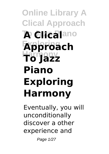## **Online Library A Clical Approach To Clicalano Exploring Approach Harmony To Jazz Piano Exploring Harmony**

Eventually, you will unconditionally discover a other experience and

Page 1/27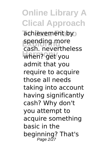**Online Library A Clical Approach** achievement by spending more when? get you cash. nevertheless admit that you require to acquire those all needs taking into account having significantly cash? Why don't you attempt to acquire something basic in the beginning? That's Page 2/27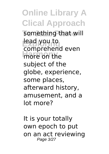**Online Library A Clical Approach** something that will lead you to more on the comprehend even subject of the globe, experience, some places, afterward history, amusement, and a lot more?

It is your totally own epoch to put on an act reviewing Page 3/27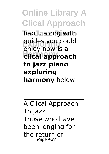**Online Library A Clical Approach To Jazz Piano** habit. along with guides you could **Harmony clical approach** enjoy now is **a to jazz piano exploring harmony** below.

A Clical Approach To Jazz Those who have been longing for the return of Page 4/27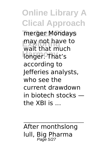**Online Library A Clical Approach** merger Mondays may not have to **Harmony** longer. That's wait that much according to Jefferies analysts, who see the current drawdown in biotech stocks the XBI is ...

After monthslong lull, Big Pharma Page 5/27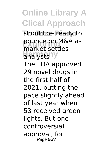**Online Library A Clical Approach** should be ready to **pounce on M&A as Harmony** analysts market settles — The FDA approved 29 novel drugs in the first half of 2021, putting the pace slightly ahead of last year when 53 received green lights. But one controversial approval, for Page 6/27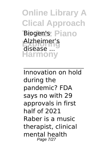**Online Library A Clical Approach** Biogen's Piano **Exploring** Alzheimer's **Harmony** disease ...

Innovation on hold during the pandemic? FDA says no with 29 approvals in first half of 2021 Raber is a music therapist, clinical mental health Page 7/27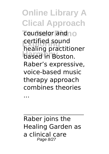**Online Library A Clical Approach** counselor and<sub>no</sub> **Exploring** healing practitioner **Harmony** based in Boston. certified sound Raber's expressive, voice-based music therapy approach combines theories

Raber joins the Healing Garden as a clinical care Page 8/27

...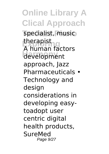**Online Library A Clical Approach** specialist, music **Exploring** A human factors **Harmony** development therapist approach, Jazz Pharmaceuticals • Technology and design considerations in developing easytoadopt user centric digital health products, **SureMed** Page 9/27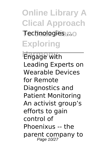**Online Library A Clical Approach To Jazz Piano** Technologies ... **Exploring**

**Engage with** Leading Experts on Wearable Devices for Remote Diagnostics and Patient Monitoring An activist group's efforts to gain control of Phoenixus -- the parent company to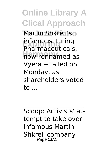**Online Library A Clical Approach** Martin Shkreli'so **Exploring** infamous Turing **Harmony** now rennamed as Pharmaceuticals, Vyera -- failed on Monday, as shareholders voted to ...

Scoop: Activists' attempt to take over infamous Martin Shkreli company<br>Page 11/27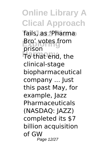**Online Library A Clical Approach To Jazz Piano** fails, as 'Pharma **Exploring**<br>British **Brown Hat End, the** prison clinical-stage biopharmaceutical company ... Just this past May, for example, Jazz Pharmaceuticals (NASDAQ: JAZZ) completed its \$7 billion acquisition of GW Page 12/27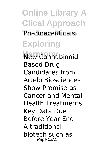**Online Library A Clical Approach** Pharmaceuticals ...

**Exploring**

**New Cannabinoid-**Based Drug Candidates from Artelo Biosciences Show Promise as Cancer and Mental Health Treatments; Key Data Due Before Year End A traditional biotech such as Page 13/27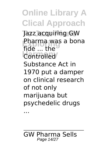**Online Library A Clical Approach To Jazz Piano** Jazz acquiring GW **Pharma was a bona Controlled** fide ... the Substance Act in 1970 put a damper on clinical research of not only marijuana but psychedelic drugs

...

GW Pharma Sells Page 14/27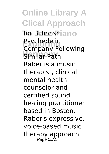**Online Library A Clical Approach** for Billions; jano **Psychedelic**<br>Campany Fe **Harmony** Similar Path Company Following Raber is a music therapist, clinical mental health counselor and certified sound healing practitioner based in Boston. Raber's expressive, voice-based music therapy approach Page 15/27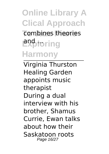**Online Library A Clical Approach** combines theories **Exploring Harmony**

Virginia Thurston Healing Garden appoints music therapist During a dual interview with his brother, Shamus Currie, Ewan talks about how their Saskatoon roots Page 16/27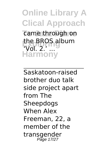**Online Library A Clical Approach** came through on the BROS album<br>That 2, **Harmony**  $\sqrt{d}$  2.

Saskatoon-raised brother duo talk side project apart from The Sheepdogs When Alex Freeman, 22, a member of the transgender Page 17/27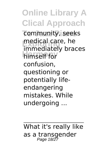**Online Library A Clical Approach** community, seeks medical care, ne<br>immediately braces **Harmony** himself for medical care, he confusion, questioning or potentially lifeendangering mistakes. While undergoing ...

What it's really like as a transgender Page 18/27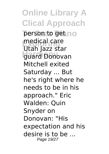**Online Library A Clical Approach** person to get no **Exploring** Utah Jazz star guard Donovan medical care Mitchell exited Saturday ... But he's right where he needs to be in his approach." Eric Walden: Quin Snyder on Donovan: "His expectation and his desire is to be ... Page 19/27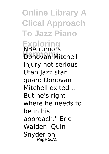**Online Library A Clical Approach To Jazz Piano**

**Exploring Harmony** NBA rumors: Donovan Mitchell injury not serious Utah Jazz star guard Donovan Mitchell exited ... But he's right where he needs to be in his approach." Eric Walden: Quin Snyder on Page 20/27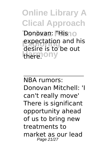**Online Library A Clical Approach** Donovan: **"Hisno Expectation and his** Here.ony desire is to be out

NBA rumors: Donovan Mitchell: 'I can't really move' There is significant opportunity ahead of us to bring new treatments to market as our lead Page 21/27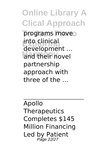**Online Library A Clical Approach** programs move **Exploring** into clinical and their novel development ... partnership approach with three of the ...

Apollo **Therapeutics** Completes \$145 Million Financing Led by Patient Page 22/27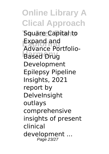**Online Library A Clical Approach To Jazz Piano** Square Capital to **Expand and Harmony** Based Drug Advance Portfolio-Development Epilepsy Pipeline Insights, 2021 report by **DelveInsight** outlays comprehensive insights of present clinical development ... Page 23/27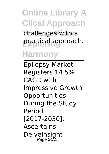**Online Library A Clical Approach** challenges with a **Exploring** practical approach. **Harmony**

Epilepsy Market Registers 14.5% CAGR with Impressive Growth **Opportunities** During the Study Period [2017-2030], Ascertains **DelveInsight** Page 24/27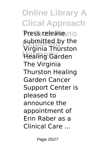**Online Library A Clical Approach Press release** no **Exploring** Virginia Thurston **Harmony** Healing Garden submitted by the The Virginia Thurston Healing Garden Cancer Support Center is pleased to announce the appointment of Erin Raber as a Clinical Care ...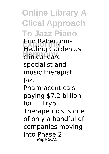**Online Library A Clical Approach To Jazz Piano Exploring** Erin Raber joins **Harmony** clinical care Healing Garden as specialist and music therapist Jazz Pharmaceuticals paying \$7.2 billion for ... Tryp Therapeutics is one of only a handful of companies moving into Phase 2 Page 26/27